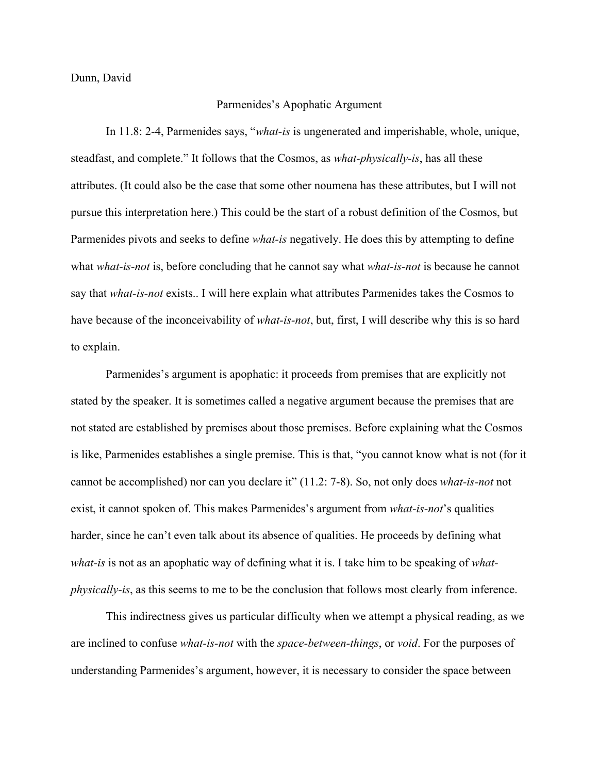Dunn, David

## Parmenides's Apophatic Argument

In 11.8: 2-4, Parmenides says, "*what-is* is ungenerated and imperishable, whole, unique, steadfast, and complete." It follows that the Cosmos, as *what-physically-is*, has all these attributes. (It could also be the case that some other noumena has these attributes, but I will not pursue this interpretation here.) This could be the start of a robust definition of the Cosmos, but Parmenides pivots and seeks to define *what-is* negatively. He does this by attempting to define what *what-is-not* is, before concluding that he cannot say what *what-is-not* is because he cannot say that *what-is-not* exists.. I will here explain what attributes Parmenides takes the Cosmos to have because of the inconceivability of *what-is-not*, but, first, I will describe why this is so hard to explain.

Parmenides's argument is apophatic: it proceeds from premises that are explicitly not stated by the speaker. It is sometimes called a negative argument because the premises that are not stated are established by premises about those premises. Before explaining what the Cosmos is like, Parmenides establishes a single premise. This is that, "you cannot know what is not (for it cannot be accomplished) nor can you declare it" (11.2: 7-8). So, not only does *what-is-not* not exist, it cannot spoken of. This makes Parmenides's argument from *what-is-not*'s qualities harder, since he can't even talk about its absence of qualities. He proceeds by defining what *what-is* is not as an apophatic way of defining what it is. I take him to be speaking of *whatphysically-is*, as this seems to me to be the conclusion that follows most clearly from inference.

This indirectness gives us particular difficulty when we attempt a physical reading, as we are inclined to confuse *what-is-not* with the *space-between-things*, or *void*. For the purposes of understanding Parmenides's argument, however, it is necessary to consider the space between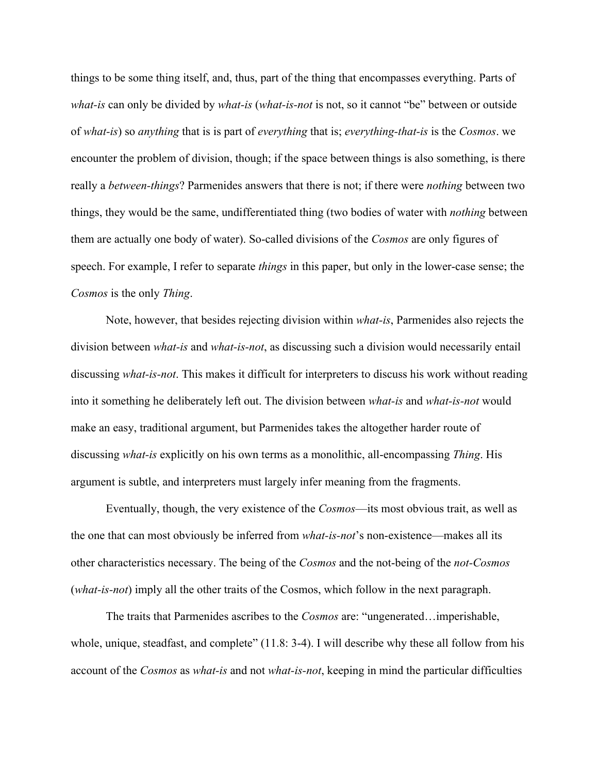things to be some thing itself, and, thus, part of the thing that encompasses everything. Parts of *what-is* can only be divided by *what-is* (*what-is-not* is not, so it cannot "be" between or outside of *what-is*) so *anything* that is is part of *everything* that is; *everything-that-is* is the *Cosmos*. we encounter the problem of division, though; if the space between things is also something, is there really a *between-things*? Parmenides answers that there is not; if there were *nothing* between two things, they would be the same, undifferentiated thing (two bodies of water with *nothing* between them are actually one body of water). So-called divisions of the *Cosmos* are only figures of speech. For example, I refer to separate *things* in this paper, but only in the lower-case sense; the *Cosmos* is the only *Thing*.

Note, however, that besides rejecting division within *what-is*, Parmenides also rejects the division between *what-is* and *what-is-not*, as discussing such a division would necessarily entail discussing *what-is-not*. This makes it difficult for interpreters to discuss his work without reading into it something he deliberately left out. The division between *what-is* and *what-is-not* would make an easy, traditional argument, but Parmenides takes the altogether harder route of discussing *what-is* explicitly on his own terms as a monolithic, all-encompassing *Thing*. His argument is subtle, and interpreters must largely infer meaning from the fragments.

Eventually, though, the very existence of the *Cosmos*—its most obvious trait, as well as the one that can most obviously be inferred from *what-is-not*'s non-existence—makes all its other characteristics necessary. The being of the *Cosmos* and the not-being of the *not-Cosmos* (*what-is-not*) imply all the other traits of the Cosmos, which follow in the next paragraph.

The traits that Parmenides ascribes to the *Cosmos* are: "ungenerated…imperishable, whole, unique, steadfast, and complete" (11.8: 3-4). I will describe why these all follow from his account of the *Cosmos* as *what-is* and not *what-is-not*, keeping in mind the particular difficulties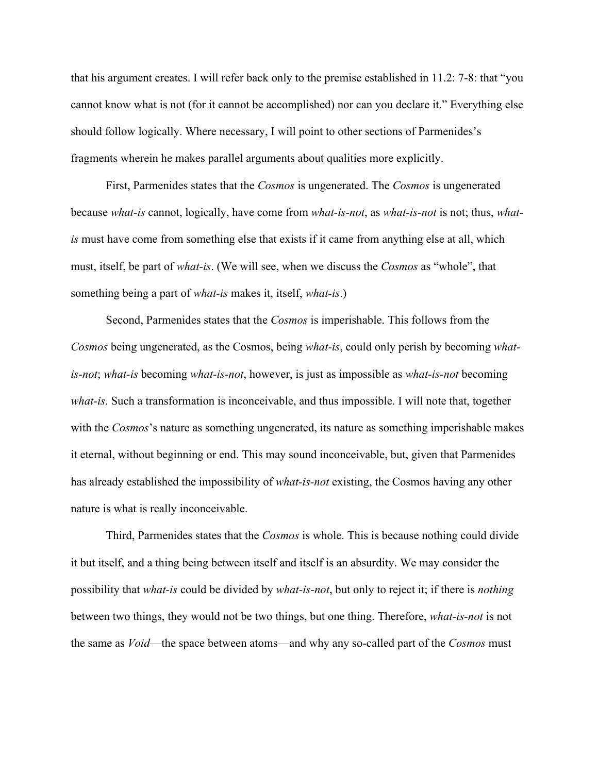that his argument creates. I will refer back only to the premise established in 11.2: 7-8: that "you cannot know what is not (for it cannot be accomplished) nor can you declare it." Everything else should follow logically. Where necessary, I will point to other sections of Parmenides's fragments wherein he makes parallel arguments about qualities more explicitly.

First, Parmenides states that the *Cosmos* is ungenerated. The *Cosmos* is ungenerated because *what-is* cannot, logically, have come from *what-is-not*, as *what-is-not* is not; thus, *whatis* must have come from something else that exists if it came from anything else at all, which must, itself, be part of *what-is*. (We will see, when we discuss the *Cosmos* as "whole", that something being a part of *what-is* makes it, itself, *what-is*.)

Second, Parmenides states that the *Cosmos* is imperishable. This follows from the *Cosmos* being ungenerated, as the Cosmos, being *what-is*, could only perish by becoming *whatis-not*; *what-is* becoming *what-is-not*, however, is just as impossible as *what-is-not* becoming *what-is*. Such a transformation is inconceivable, and thus impossible. I will note that, together with the *Cosmos*'s nature as something ungenerated, its nature as something imperishable makes it eternal, without beginning or end. This may sound inconceivable, but, given that Parmenides has already established the impossibility of *what-is-not* existing, the Cosmos having any other nature is what is really inconceivable.

Third, Parmenides states that the *Cosmos* is whole. This is because nothing could divide it but itself, and a thing being between itself and itself is an absurdity. We may consider the possibility that *what-is* could be divided by *what-is-not*, but only to reject it; if there is *nothing*  between two things, they would not be two things, but one thing. Therefore, *what-is-not* is not the same as *Void*—the space between atoms—and why any so-called part of the *Cosmos* must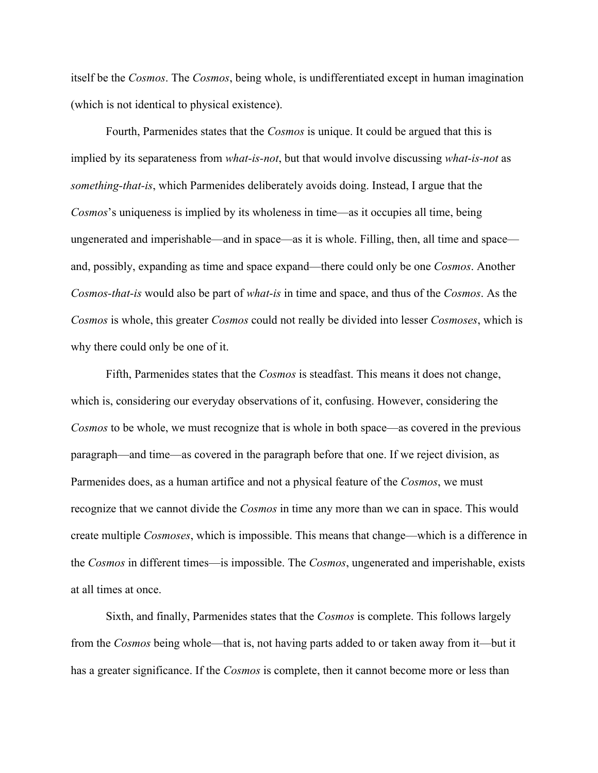itself be the *Cosmos*. The *Cosmos*, being whole, is undifferentiated except in human imagination (which is not identical to physical existence).

Fourth, Parmenides states that the *Cosmos* is unique. It could be argued that this is implied by its separateness from *what-is-not*, but that would involve discussing *what-is-not* as *something-that-is*, which Parmenides deliberately avoids doing. Instead, I argue that the *Cosmos*'s uniqueness is implied by its wholeness in time—as it occupies all time, being ungenerated and imperishable—and in space—as it is whole. Filling, then, all time and space and, possibly, expanding as time and space expand—there could only be one *Cosmos*. Another *Cosmos-that-is* would also be part of *what-is* in time and space, and thus of the *Cosmos*. As the *Cosmos* is whole, this greater *Cosmos* could not really be divided into lesser *Cosmoses*, which is why there could only be one of it.

Fifth, Parmenides states that the *Cosmos* is steadfast. This means it does not change, which is, considering our everyday observations of it, confusing. However, considering the *Cosmos* to be whole, we must recognize that is whole in both space—as covered in the previous paragraph—and time—as covered in the paragraph before that one. If we reject division, as Parmenides does, as a human artifice and not a physical feature of the *Cosmos*, we must recognize that we cannot divide the *Cosmos* in time any more than we can in space. This would create multiple *Cosmoses*, which is impossible. This means that change—which is a difference in the *Cosmos* in different times—is impossible. The *Cosmos*, ungenerated and imperishable, exists at all times at once.

Sixth, and finally, Parmenides states that the *Cosmos* is complete. This follows largely from the *Cosmos* being whole—that is, not having parts added to or taken away from it—but it has a greater significance. If the *Cosmos* is complete, then it cannot become more or less than